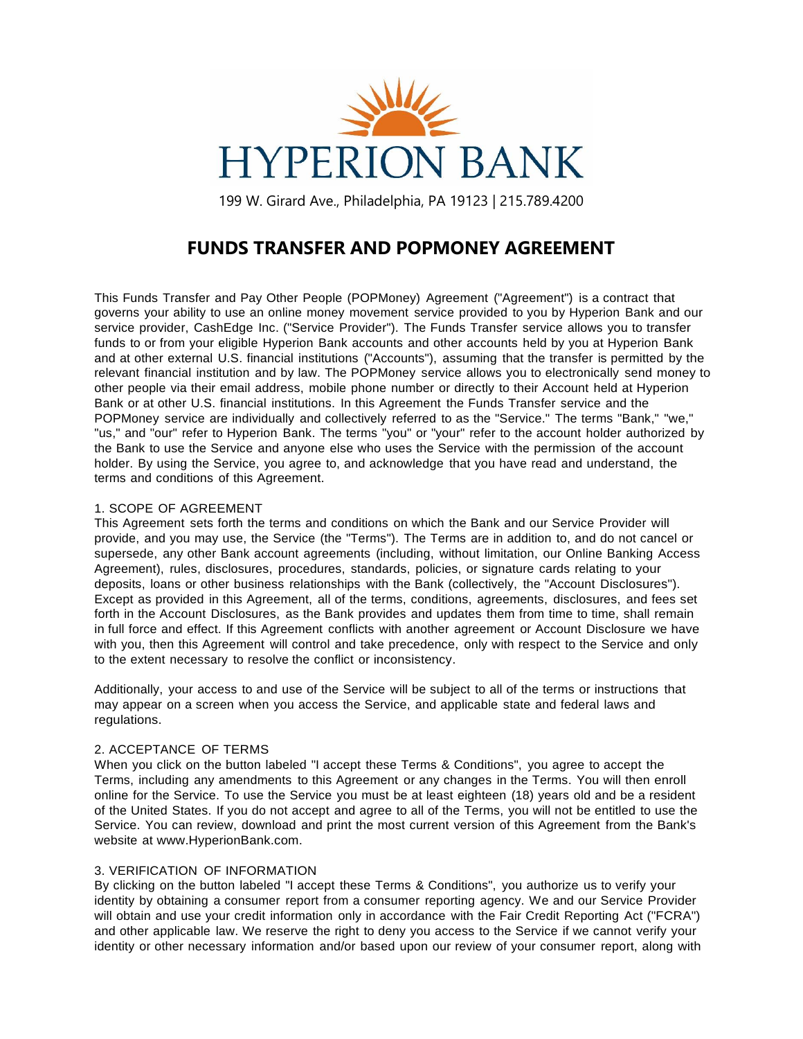

199 W. Girard Ave., Philadelphia, PA 19123 | 215.789.4200

# **FUNDS TRANSFER AND POPMONEY AGREEMENT**

This Funds Transfer and Pay Other People (POPMoney) Agreement ("Agreement") is a contract that governs your ability to use an online money movement service provided to you by Hyperion Bank and our service provider, CashEdge Inc. ("Service Provider"). The Funds Transfer service allows you to transfer funds to or from your eligible Hyperion Bank accounts and other accounts held by you at Hyperion Bank and at other external U.S. financial institutions ("Accounts"), assuming that the transfer is permitted by the relevant financial institution and by law. The POPMoney service allows you to electronically send money to other people via their email address, mobile phone number or directly to their Account held at Hyperion Bank or at other U.S. financial institutions. In this Agreement the Funds Transfer service and the POPMoney service are individually and collectively referred to as the "Service." The terms "Bank," "we," "us," and "our" refer to Hyperion Bank. The terms "you" or "your" refer to the account holder authorized by the Bank to use the Service and anyone else who uses the Service with the permission of the account holder. By using the Service, you agree to, and acknowledge that you have read and understand, the terms and conditions of this Agreement.

# 1. SCOPE OF AGREEMENT

This Agreement sets forth the terms and conditions on which the Bank and our Service Provider will provide, and you may use, the Service (the "Terms"). The Terms are in addition to, and do not cancel or supersede, any other Bank account agreements (including, without limitation, our Online Banking Access Agreement), rules, disclosures, procedures, standards, policies, or signature cards relating to your deposits, loans or other business relationships with the Bank (collectively, the "Account Disclosures"). Except as provided in this Agreement, all of the terms, conditions, agreements, disclosures, and fees set forth in the Account Disclosures, as the Bank provides and updates them from time to time, shall remain in full force and effect. If this Agreement conflicts with another agreement or Account Disclosure we have with you, then this Agreement will control and take precedence, only with respect to the Service and only to the extent necessary to resolve the conflict or inconsistency.

Additionally, your access to and use of the Service will be subject to all of the terms or instructions that may appear on a screen when you access the Service, and applicable state and federal laws and regulations.

# 2. ACCEPTANCE OF TERMS

When you click on the button labeled "I accept these Terms & Conditions", you agree to accept the Terms, including any amendments to this Agreement or any changes in the Terms. You will then enroll online for the Service. To use the Service you must be at least eighteen (18) years old and be a resident of the United States. If you do not accept and agree to all of the Terms, you will not be entitled to use the Service. You can review, download and print the most current version of this Agreement from the Bank's website at [www.HyperionBank.com.](http://www.hyperionbank.com/)

# 3. VERIFICATION OF INFORMATION

By clicking on the button labeled "I accept these Terms & Conditions", you authorize us to verify your identity by obtaining a consumer report from a consumer reporting agency. We and our Service Provider will obtain and use your credit information only in accordance with the Fair Credit Reporting Act ("FCRA") and other applicable law. We reserve the right to deny you access to the Service if we cannot verify your identity or other necessary information and/or based upon our review of your consumer report, along with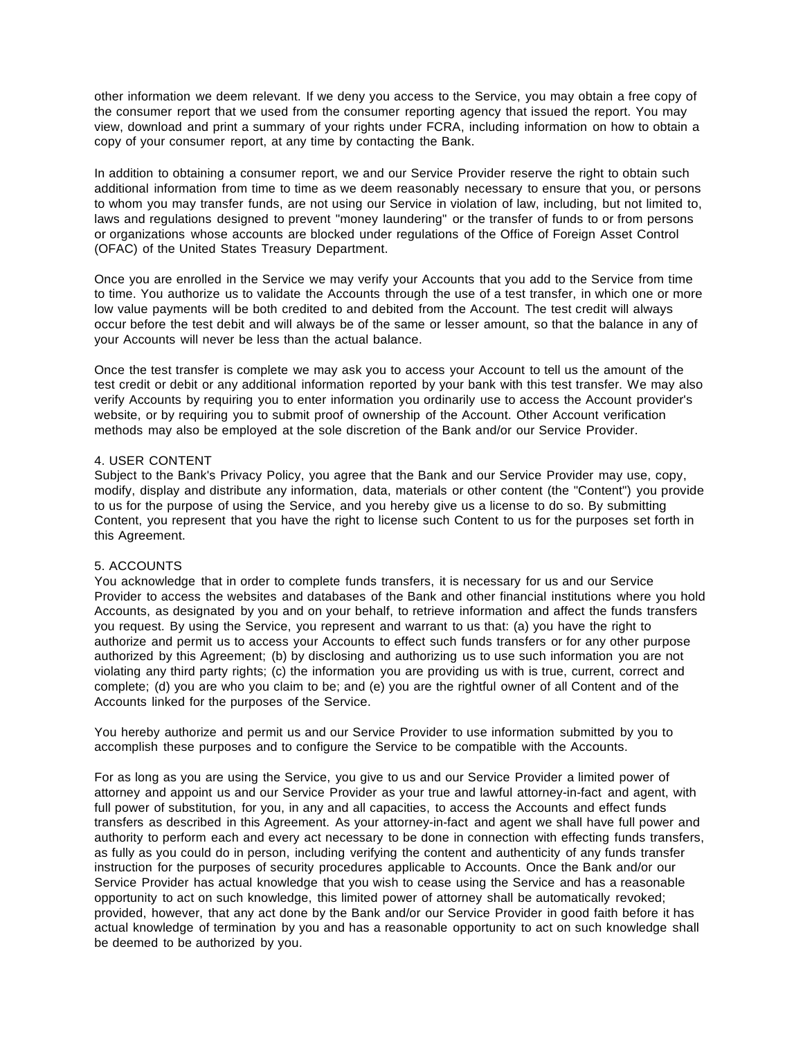other information we deem relevant. If we deny you access to the Service, you may obtain a free copy of the consumer report that we used from the consumer reporting agency that issued the report. You may view, download and print a summary of your rights under FCRA, including information on how to obtain a copy of your consumer report, at any time by contacting the Bank.

In addition to obtaining a consumer report, we and our Service Provider reserve the right to obtain such additional information from time to time as we deem reasonably necessary to ensure that you, or persons to whom you may transfer funds, are not using our Service in violation of law, including, but not limited to, laws and regulations designed to prevent "money laundering" or the transfer of funds to or from persons or organizations whose accounts are blocked under regulations of the Office of Foreign Asset Control (OFAC) of the United States Treasury Department.

Once you are enrolled in the Service we may verify your Accounts that you add to the Service from time to time. You authorize us to validate the Accounts through the use of a test transfer, in which one or more low value payments will be both credited to and debited from the Account. The test credit will always occur before the test debit and will always be of the same or lesser amount, so that the balance in any of your Accounts will never be less than the actual balance.

Once the test transfer is complete we may ask you to access your Account to tell us the amount of the test credit or debit or any additional information reported by your bank with this test transfer. We may also verify Accounts by requiring you to enter information you ordinarily use to access the Account provider's website, or by requiring you to submit proof of ownership of the Account. Other Account verification methods may also be employed at the sole discretion of the Bank and/or our Service Provider.

#### 4. USER CONTENT

Subject to the Bank's Privacy Policy, you agree that the Bank and our Service Provider may use, copy, modify, display and distribute any information, data, materials or other content (the "Content") you provide to us for the purpose of using the Service, and you hereby give us a license to do so. By submitting Content, you represent that you have the right to license such Content to us for the purposes set forth in this Agreement.

# 5. ACCOUNTS

You acknowledge that in order to complete funds transfers, it is necessary for us and our Service Provider to access the websites and databases of the Bank and other financial institutions where you hold Accounts, as designated by you and on your behalf, to retrieve information and affect the funds transfers you request. By using the Service, you represent and warrant to us that: (a) you have the right to authorize and permit us to access your Accounts to effect such funds transfers or for any other purpose authorized by this Agreement; (b) by disclosing and authorizing us to use such information you are not violating any third party rights; (c) the information you are providing us with is true, current, correct and complete; (d) you are who you claim to be; and (e) you are the rightful owner of all Content and of the Accounts linked for the purposes of the Service.

You hereby authorize and permit us and our Service Provider to use information submitted by you to accomplish these purposes and to configure the Service to be compatible with the Accounts.

For as long as you are using the Service, you give to us and our Service Provider a limited power of attorney and appoint us and our Service Provider as your true and lawful attorney-in-fact and agent, with full power of substitution, for you, in any and all capacities, to access the Accounts and effect funds transfers as described in this Agreement. As your attorney-in-fact and agent we shall have full power and authority to perform each and every act necessary to be done in connection with effecting funds transfers, as fully as you could do in person, including verifying the content and authenticity of any funds transfer instruction for the purposes of security procedures applicable to Accounts. Once the Bank and/or our Service Provider has actual knowledge that you wish to cease using the Service and has a reasonable opportunity to act on such knowledge, this limited power of attorney shall be automatically revoked; provided, however, that any act done by the Bank and/or our Service Provider in good faith before it has actual knowledge of termination by you and has a reasonable opportunity to act on such knowledge shall be deemed to be authorized by you.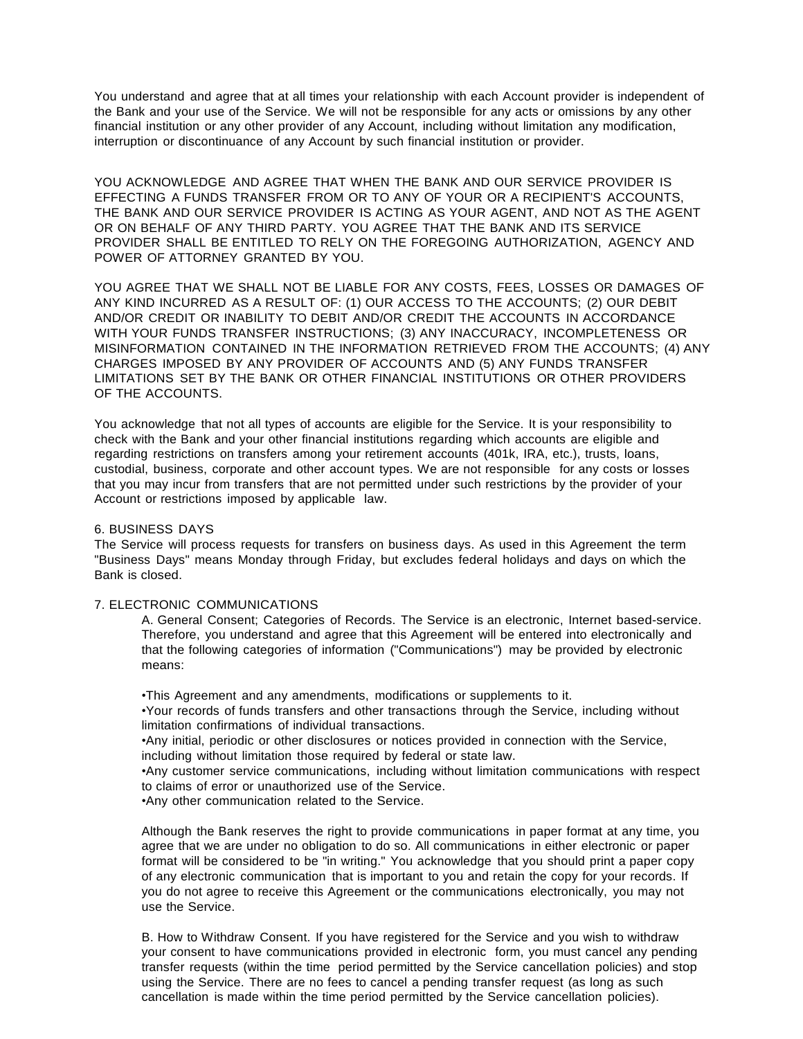You understand and agree that at all times your relationship with each Account provider is independent of the Bank and your use of the Service. We will not be responsible for any acts or omissions by any other financial institution or any other provider of any Account, including without limitation any modification, interruption or discontinuance of any Account by such financial institution or provider.

YOU ACKNOWLEDGE AND AGREE THAT WHEN THE BANK AND OUR SERVICE PROVIDER IS EFFECTING A FUNDS TRANSFER FROM OR TO ANY OF YOUR OR A RECIPIENT'S ACCOUNTS, THE BANK AND OUR SERVICE PROVIDER IS ACTING AS YOUR AGENT, AND NOT AS THE AGENT OR ON BEHALF OF ANY THIRD PARTY. YOU AGREE THAT THE BANK AND ITS SERVICE PROVIDER SHALL BE ENTITLED TO RELY ON THE FOREGOING AUTHORIZATION, AGENCY AND POWER OF ATTORNEY GRANTED BY YOU.

YOU AGREE THAT WE SHALL NOT BE LIABLE FOR ANY COSTS, FEES, LOSSES OR DAMAGES OF ANY KIND INCURRED AS A RESULT OF: (1) OUR ACCESS TO THE ACCOUNTS; (2) OUR DEBIT AND/OR CREDIT OR INABILITY TO DEBIT AND/OR CREDIT THE ACCOUNTS IN ACCORDANCE WITH YOUR FUNDS TRANSFER INSTRUCTIONS; (3) ANY INACCURACY, INCOMPLETENESS OR MISINFORMATION CONTAINED IN THE INFORMATION RETRIEVED FROM THE ACCOUNTS; (4) ANY CHARGES IMPOSED BY ANY PROVIDER OF ACCOUNTS AND (5) ANY FUNDS TRANSFER LIMITATIONS SET BY THE BANK OR OTHER FINANCIAL INSTITUTIONS OR OTHER PROVIDERS OF THE ACCOUNTS.

You acknowledge that not all types of accounts are eligible for the Service. It is your responsibility to check with the Bank and your other financial institutions regarding which accounts are eligible and regarding restrictions on transfers among your retirement accounts (401k, IRA, etc.), trusts, loans, custodial, business, corporate and other account types. We are not responsible for any costs or losses that you may incur from transfers that are not permitted under such restrictions by the provider of your Account or restrictions imposed by applicable law.

#### 6. BUSINESS DAYS

The Service will process requests for transfers on business days. As used in this Agreement the term "Business Days" means Monday through Friday, but excludes federal holidays and days on which the Bank is closed.

## 7. ELECTRONIC COMMUNICATIONS

A. General Consent; Categories of Records. The Service is an electronic, Internet based-service. Therefore, you understand and agree that this Agreement will be entered into electronically and that the following categories of information ("Communications") may be provided by electronic means:

•This Agreement and any amendments, modifications or supplements to it.

•Your records of funds transfers and other transactions through the Service, including without limitation confirmations of individual transactions.

•Any initial, periodic or other disclosures or notices provided in connection with the Service, including without limitation those required by federal or state law.

•Any customer service communications, including without limitation communications with respect to claims of error or unauthorized use of the Service.

•Any other communication related to the Service.

Although the Bank reserves the right to provide communications in paper format at any time, you agree that we are under no obligation to do so. All communications in either electronic or paper format will be considered to be "in writing." You acknowledge that you should print a paper copy of any electronic communication that is important to you and retain the copy for your records. If you do not agree to receive this Agreement or the communications electronically, you may not use the Service.

B. How to Withdraw Consent. If you have registered for the Service and you wish to withdraw your consent to have communications provided in electronic form, you must cancel any pending transfer requests (within the time period permitted by the Service cancellation policies) and stop using the Service. There are no fees to cancel a pending transfer request (as long as such cancellation is made within the time period permitted by the Service cancellation policies).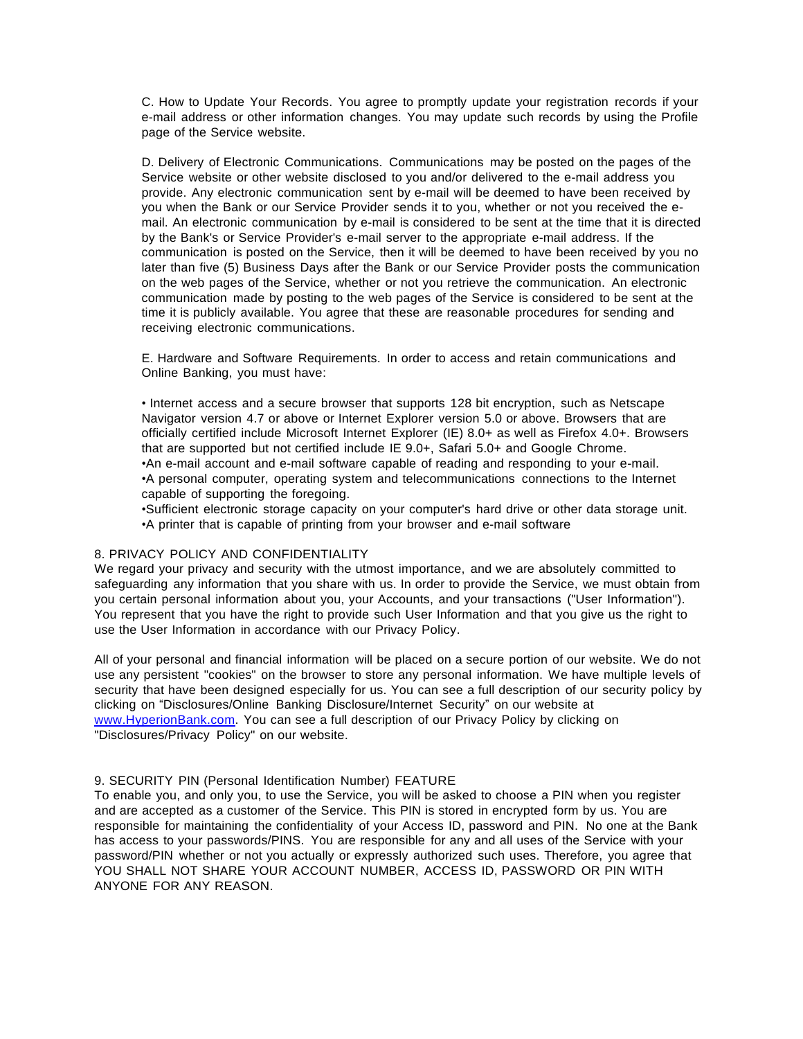C. How to Update Your Records. You agree to promptly update your registration records if your e-mail address or other information changes. You may update such records by using the Profile page of the Service website.

D. Delivery of Electronic Communications. Communications may be posted on the pages of the Service website or other website disclosed to you and/or delivered to the e-mail address you provide. Any electronic communication sent by e-mail will be deemed to have been received by you when the Bank or our Service Provider sends it to you, whether or not you received the email. An electronic communication by e-mail is considered to be sent at the time that it is directed by the Bank's or Service Provider's e-mail server to the appropriate e-mail address. If the communication is posted on the Service, then it will be deemed to have been received by you no later than five (5) Business Days after the Bank or our Service Provider posts the communication on the web pages of the Service, whether or not you retrieve the communication. An electronic communication made by posting to the web pages of the Service is considered to be sent at the time it is publicly available. You agree that these are reasonable procedures for sending and receiving electronic communications.

E. Hardware and Software Requirements. In order to access and retain communications and Online Banking, you must have:

• Internet access and a secure browser that supports 128 bit encryption, such as Netscape Navigator version 4.7 or above or Internet Explorer version 5.0 or above. Browsers that are officially certified include Microsoft Internet Explorer (IE) 8.0+ as well as Firefox 4.0+. Browsers that are supported but not certified include IE 9.0+, Safari 5.0+ and Google Chrome. •An e-mail account and e-mail software capable of reading and responding to your e-mail. •A personal computer, operating system and telecommunications connections to the Internet capable of supporting the foregoing.

•Sufficient electronic storage capacity on your computer's hard drive or other data storage unit. •A printer that is capable of printing from your browser and e-mail software

#### 8. PRIVACY POLICY AND CONFIDENTIALITY

We regard your privacy and security with the utmost importance, and we are absolutely committed to safeguarding any information that you share with us. In order to provide the Service, we must obtain from you certain personal information about you, your Accounts, and your transactions ("User Information"). You represent that you have the right to provide such User Information and that you give us the right to use the User Information in accordance with our Privacy Policy.

All of your personal and financial information will be placed on a secure portion of our website. We do not use any persistent "cookies" on the browser to store any personal information. We have multiple levels of security that have been designed especially for us. You can see a full description of our security policy by clicking on "Disclosures/Online Banking Disclosure/Internet Security" on our website at [www.HyperionBank.com.](http://www.hyperionbank.com/) You can see a full description of our Privacy Policy by clicking on "Disclosures/Privacy Policy" on our website.

#### 9. SECURITY PIN (Personal Identification Number) FEATURE

To enable you, and only you, to use the Service, you will be asked to choose a PIN when you register and are accepted as a customer of the Service. This PIN is stored in encrypted form by us. You are responsible for maintaining the confidentiality of your Access ID, password and PIN. No one at the Bank has access to your passwords/PINS. You are responsible for any and all uses of the Service with your password/PIN whether or not you actually or expressly authorized such uses. Therefore, you agree that YOU SHALL NOT SHARE YOUR ACCOUNT NUMBER, ACCESS ID, PASSWORD OR PIN WITH ANYONE FOR ANY REASON.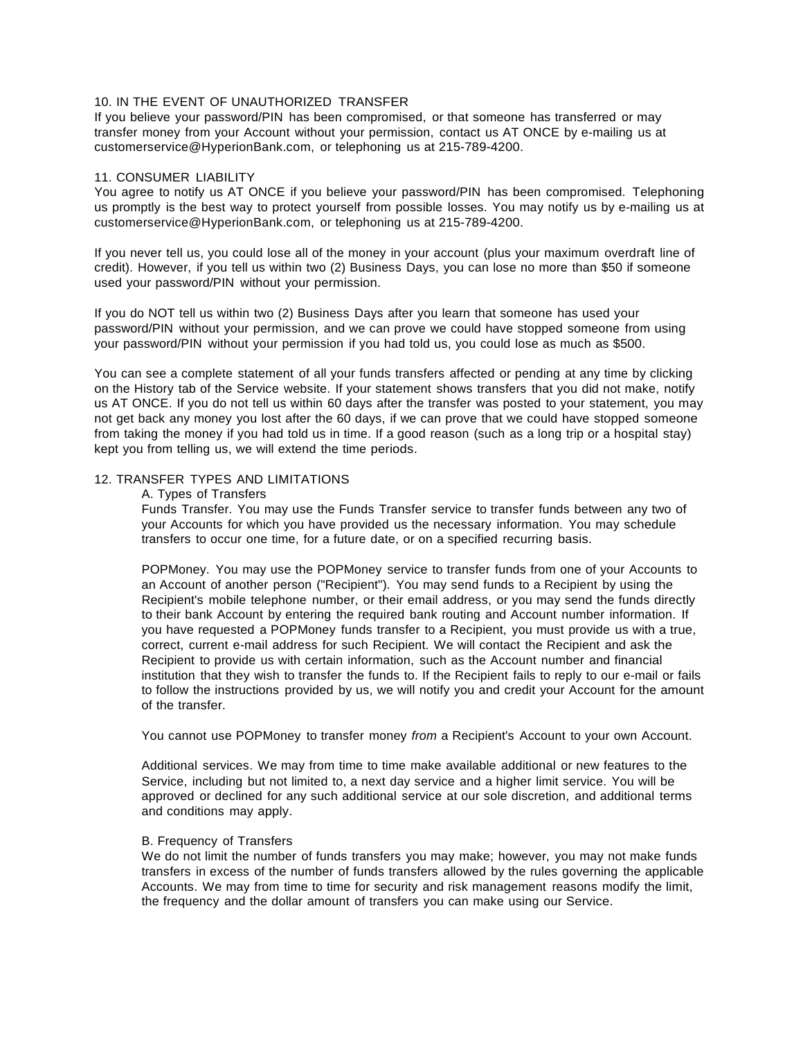# 10. IN THE EVENT OF UNAUTHORIZED TRANSFER

If you believe your password/PIN has been compromised, or that someone has transferred or may transfer money from your Account without your permission, contact us AT ONCE by e-mailing us a[t](mailto:customerservice@HyperionBank.com) [customerservice@HyperionBank.com,](mailto:customerservice@HyperionBank.com) or telephoning us at 215-789-4200.

## 11. CONSUMER LIABILITY

You agree to notify us AT ONCE if you believe your password/PIN has been compromised. Telephoning us promptly is the best way to protect yourself from possible losses. You may notify us by e-mailing us a[t](mailto:customerservice@HyperionBank.com) [customerservice@HyperionBank.com,](mailto:customerservice@HyperionBank.com) or telephoning us at 215-789-4200.

If you never tell us, you could lose all of the money in your account (plus your maximum overdraft line of credit). However, if you tell us within two (2) Business Days, you can lose no more than \$50 if someone used your password/PIN without your permission.

If you do NOT tell us within two (2) Business Days after you learn that someone has used your password/PIN without your permission, and we can prove we could have stopped someone from using your password/PIN without your permission if you had told us, you could lose as much as \$500.

You can see a complete statement of all your funds transfers affected or pending at any time by clicking on the History tab of the Service website. If your statement shows transfers that you did not make, notify us AT ONCE. If you do not tell us within 60 days after the transfer was posted to your statement, you may not get back any money you lost after the 60 days, if we can prove that we could have stopped someone from taking the money if you had told us in time. If a good reason (such as a long trip or a hospital stay) kept you from telling us, we will extend the time periods.

## 12. TRANSFER TYPES AND LIMITATIONS

#### A. Types of Transfers

Funds Transfer. You may use the Funds Transfer service to transfer funds between any two of your Accounts for which you have provided us the necessary information. You may schedule transfers to occur one time, for a future date, or on a specified recurring basis.

POPMoney. You may use the POPMoney service to transfer funds from one of your Accounts to an Account of another person ("Recipient"). You may send funds to a Recipient by using the Recipient's mobile telephone number, or their email address, or you may send the funds directly to their bank Account by entering the required bank routing and Account number information. If you have requested a POPMoney funds transfer to a Recipient, you must provide us with a true, correct, current e-mail address for such Recipient. We will contact the Recipient and ask the Recipient to provide us with certain information, such as the Account number and financial institution that they wish to transfer the funds to. If the Recipient fails to reply to our e-mail or fails to follow the instructions provided by us, we will notify you and credit your Account for the amount of the transfer.

You cannot use POPMoney to transfer money *from* a Recipient's Account to your own Account.

Additional services. We may from time to time make available additional or new features to the Service, including but not limited to, a next day service and a higher limit service. You will be approved or declined for any such additional service at our sole discretion, and additional terms and conditions may apply.

#### B. Frequency of Transfers

We do not limit the number of funds transfers you may make; however, you may not make funds transfers in excess of the number of funds transfers allowed by the rules governing the applicable Accounts. We may from time to time for security and risk management reasons modify the limit, the frequency and the dollar amount of transfers you can make using our Service.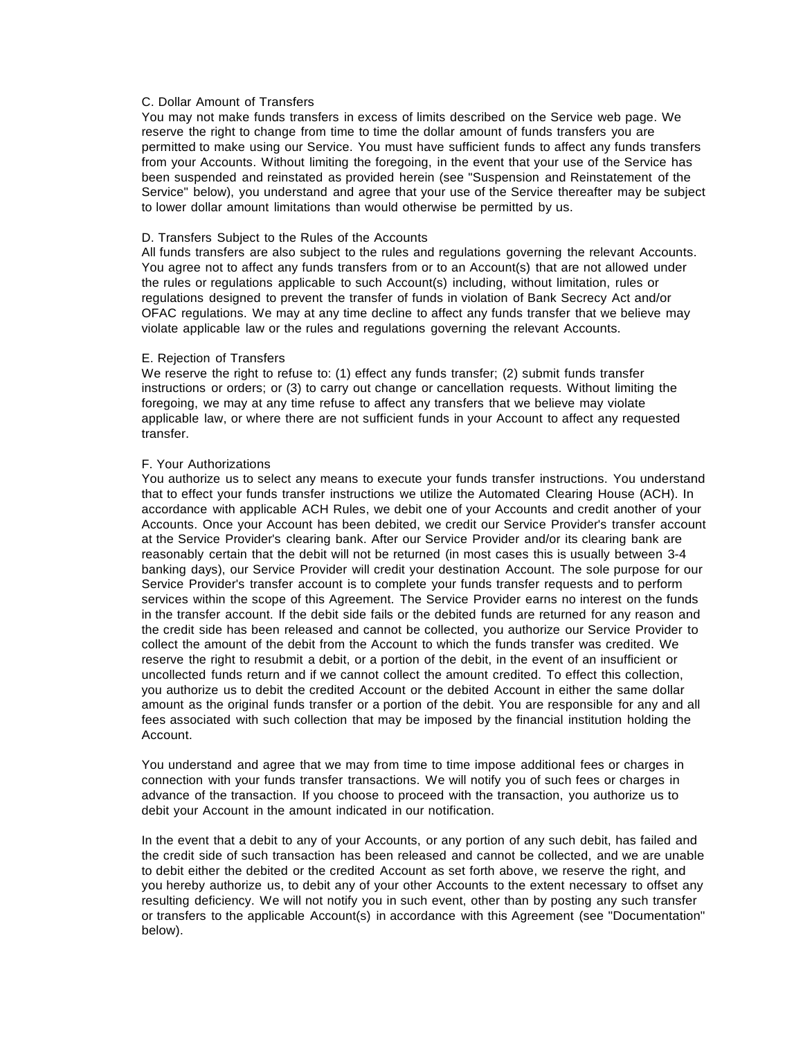# C. Dollar Amount of Transfers

You may not make funds transfers in excess of limits described on the Service web page. We reserve the right to change from time to time the dollar amount of funds transfers you are permitted to make using our Service. You must have sufficient funds to affect any funds transfers from your Accounts. Without limiting the foregoing, in the event that your use of the Service has been suspended and reinstated as provided herein (see "Suspension and Reinstatement of the Service" below), you understand and agree that your use of the Service thereafter may be subject to lower dollar amount limitations than would otherwise be permitted by us.

## D. Transfers Subject to the Rules of the Accounts

All funds transfers are also subject to the rules and regulations governing the relevant Accounts. You agree not to affect any funds transfers from or to an Account(s) that are not allowed under the rules or regulations applicable to such Account(s) including, without limitation, rules or regulations designed to prevent the transfer of funds in violation of Bank Secrecy Act and/or OFAC regulations. We may at any time decline to affect any funds transfer that we believe may violate applicable law or the rules and regulations governing the relevant Accounts.

#### E. Rejection of Transfers

We reserve the right to refuse to: (1) effect any funds transfer; (2) submit funds transfer instructions or orders; or (3) to carry out change or cancellation requests. Without limiting the foregoing, we may at any time refuse to affect any transfers that we believe may violate applicable law, or where there are not sufficient funds in your Account to affect any requested transfer.

#### F. Your Authorizations

You authorize us to select any means to execute your funds transfer instructions. You understand that to effect your funds transfer instructions we utilize the Automated Clearing House (ACH). In accordance with applicable ACH Rules, we debit one of your Accounts and credit another of your Accounts. Once your Account has been debited, we credit our Service Provider's transfer account at the Service Provider's clearing bank. After our Service Provider and/or its clearing bank are reasonably certain that the debit will not be returned (in most cases this is usually between 3-4 banking days), our Service Provider will credit your destination Account. The sole purpose for our Service Provider's transfer account is to complete your funds transfer requests and to perform services within the scope of this Agreement. The Service Provider earns no interest on the funds in the transfer account. If the debit side fails or the debited funds are returned for any reason and the credit side has been released and cannot be collected, you authorize our Service Provider to collect the amount of the debit from the Account to which the funds transfer was credited. We reserve the right to resubmit a debit, or a portion of the debit, in the event of an insufficient or uncollected funds return and if we cannot collect the amount credited. To effect this collection, you authorize us to debit the credited Account or the debited Account in either the same dollar amount as the original funds transfer or a portion of the debit. You are responsible for any and all fees associated with such collection that may be imposed by the financial institution holding the Account.

You understand and agree that we may from time to time impose additional fees or charges in connection with your funds transfer transactions. We will notify you of such fees or charges in advance of the transaction. If you choose to proceed with the transaction, you authorize us to debit your Account in the amount indicated in our notification.

In the event that a debit to any of your Accounts, or any portion of any such debit, has failed and the credit side of such transaction has been released and cannot be collected, and we are unable to debit either the debited or the credited Account as set forth above, we reserve the right, and you hereby authorize us, to debit any of your other Accounts to the extent necessary to offset any resulting deficiency. We will not notify you in such event, other than by posting any such transfer or transfers to the applicable Account(s) in accordance with this Agreement (see "Documentation" below).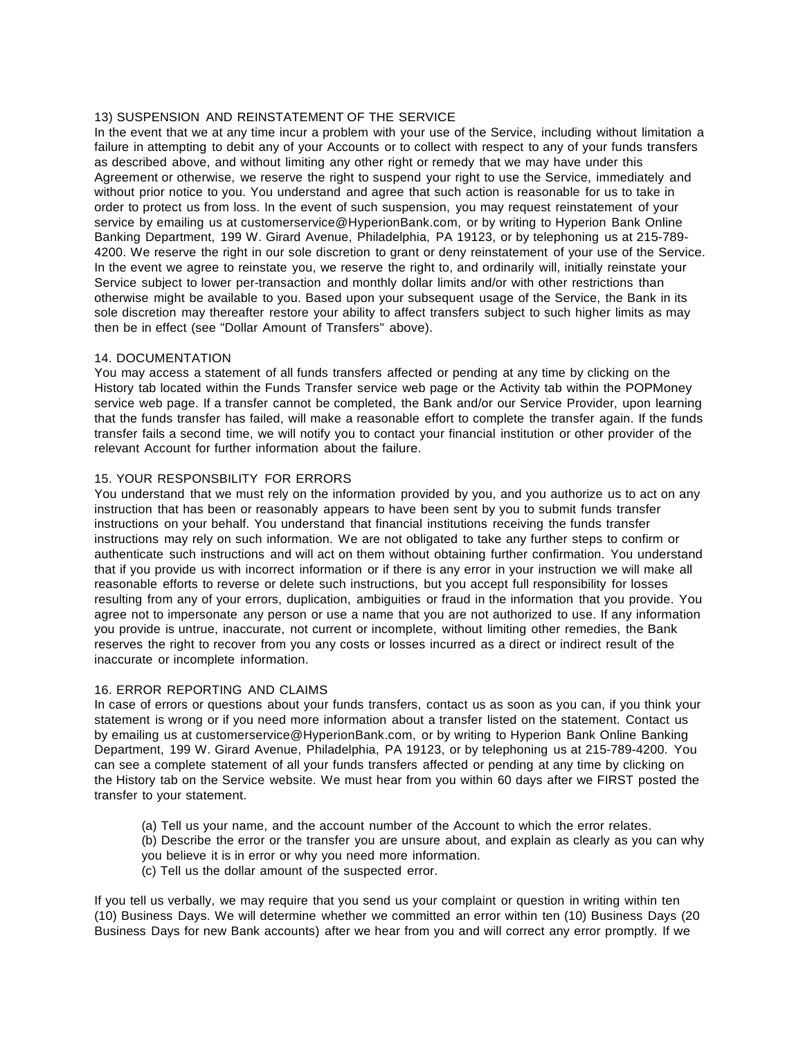## 13) SUSPENSION AND REINSTATEMENT OF THE SERVICE

In the event that we at any time incur a problem with your use of the Service, including without limitation a failure in attempting to debit any of your Accounts or to collect with respect to any of your funds transfers as described above, and without limiting any other right or remedy that we may have under this Agreement or otherwise, we reserve the right to suspend your right to use the Service, immediately and without prior notice to you. You understand and agree that such action is reasonable for us to take in order to protect us from loss. In the event of such suspension, you may request reinstatement of your service by emailing us at [customerservice@HyperionBank.com,](mailto:customerservice@HyperionBank.com) or by writing to Hyperion Bank Online Banking Department, 199 W. Girard Avenue, Philadelphia, PA 19123, or by telephoning us at 215-789- 4200. We reserve the right in our sole discretion to grant or deny reinstatement of your use of the Service. In the event we agree to reinstate you, we reserve the right to, and ordinarily will, initially reinstate your Service subject to lower per-transaction and monthly dollar limits and/or with other restrictions than otherwise might be available to you. Based upon your subsequent usage of the Service, the Bank in its sole discretion may thereafter restore your ability to affect transfers subject to such higher limits as may then be in effect (see "Dollar Amount of Transfers" above).

## 14. DOCUMENTATION

You may access a statement of all funds transfers affected or pending at any time by clicking on the History tab located within the Funds Transfer service web page or the Activity tab within the POPMoney service web page. If a transfer cannot be completed, the Bank and/or our Service Provider, upon learning that the funds transfer has failed, will make a reasonable effort to complete the transfer again. If the funds transfer fails a second time, we will notify you to contact your financial institution or other provider of the relevant Account for further information about the failure.

# 15. YOUR RESPONSBILITY FOR ERRORS

You understand that we must rely on the information provided by you, and you authorize us to act on any instruction that has been or reasonably appears to have been sent by you to submit funds transfer instructions on your behalf. You understand that financial institutions receiving the funds transfer instructions may rely on such information. We are not obligated to take any further steps to confirm or authenticate such instructions and will act on them without obtaining further confirmation. You understand that if you provide us with incorrect information or if there is any error in your instruction we will make all reasonable efforts to reverse or delete such instructions, but you accept full responsibility for losses resulting from any of your errors, duplication, ambiguities or fraud in the information that you provide. You agree not to impersonate any person or use a name that you are not authorized to use. If any information you provide is untrue, inaccurate, not current or incomplete, without limiting other remedies, the Bank reserves the right to recover from you any costs or losses incurred as a direct or indirect result of the inaccurate or incomplete information.

# 16. ERROR REPORTING AND CLAIMS

In case of errors or questions about your funds transfers, contact us as soon as you can, if you think your statement is wrong or if you need more information about a transfer listed on the statement. Contact us by emailing us at [customerservice@HyperionBank.com,](mailto:customerservice@HyperionBank.com) or by writing to Hyperion Bank Online Banking Department, 199 W. Girard Avenue, Philadelphia, PA 19123, or by telephoning us at 215-789-4200. You can see a complete statement of all your funds transfers affected or pending at any time by clicking on the History tab on the Service website. We must hear from you within 60 days after we FIRST posted the transfer to your statement.

- (a) Tell us your name, and the account number of the Account to which the error relates.
- (b) Describe the error or the transfer you are unsure about, and explain as clearly as you can why you believe it is in error or why you need more information.
- (c) Tell us the dollar amount of the suspected error.

If you tell us verbally, we may require that you send us your complaint or question in writing within ten (10) Business Days. We will determine whether we committed an error within ten (10) Business Days (20 Business Days for new Bank accounts) after we hear from you and will correct any error promptly. If we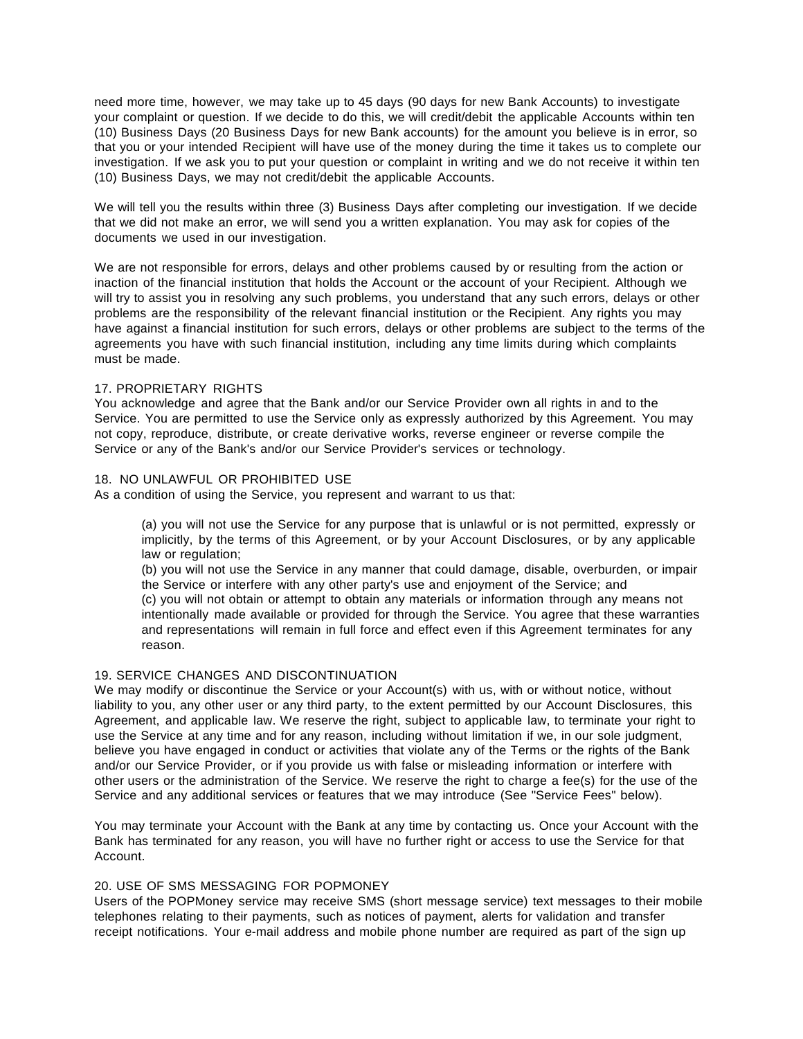need more time, however, we may take up to 45 days (90 days for new Bank Accounts) to investigate your complaint or question. If we decide to do this, we will credit/debit the applicable Accounts within ten (10) Business Days (20 Business Days for new Bank accounts) for the amount you believe is in error, so that you or your intended Recipient will have use of the money during the time it takes us to complete our investigation. If we ask you to put your question or complaint in writing and we do not receive it within ten (10) Business Days, we may not credit/debit the applicable Accounts.

We will tell you the results within three (3) Business Days after completing our investigation. If we decide that we did not make an error, we will send you a written explanation. You may ask for copies of the documents we used in our investigation.

We are not responsible for errors, delays and other problems caused by or resulting from the action or inaction of the financial institution that holds the Account or the account of your Recipient. Although we will try to assist you in resolving any such problems, you understand that any such errors, delays or other problems are the responsibility of the relevant financial institution or the Recipient. Any rights you may have against a financial institution for such errors, delays or other problems are subject to the terms of the agreements you have with such financial institution, including any time limits during which complaints must be made.

## 17. PROPRIETARY RIGHTS

You acknowledge and agree that the Bank and/or our Service Provider own all rights in and to the Service. You are permitted to use the Service only as expressly authorized by this Agreement. You may not copy, reproduce, distribute, or create derivative works, reverse engineer or reverse compile the Service or any of the Bank's and/or our Service Provider's services or technology.

## 18. NO UNLAWFUL OR PROHIBITED USE

As a condition of using the Service, you represent and warrant to us that:

(a) you will not use the Service for any purpose that is unlawful or is not permitted, expressly or implicitly, by the terms of this Agreement, or by your Account Disclosures, or by any applicable law or regulation;

(b) you will not use the Service in any manner that could damage, disable, overburden, or impair the Service or interfere with any other party's use and enjoyment of the Service; and

(c) you will not obtain or attempt to obtain any materials or information through any means not intentionally made available or provided for through the Service. You agree that these warranties and representations will remain in full force and effect even if this Agreement terminates for any reason.

## 19. SERVICE CHANGES AND DISCONTINUATION

We may modify or discontinue the Service or your Account(s) with us, with or without notice, without liability to you, any other user or any third party, to the extent permitted by our Account Disclosures, this Agreement, and applicable law. We reserve the right, subject to applicable law, to terminate your right to use the Service at any time and for any reason, including without limitation if we, in our sole judgment, believe you have engaged in conduct or activities that violate any of the Terms or the rights of the Bank and/or our Service Provider, or if you provide us with false or misleading information or interfere with other users or the administration of the Service. We reserve the right to charge a fee(s) for the use of the Service and any additional services or features that we may introduce (See "Service Fees" below).

You may terminate your Account with the Bank at any time by contacting us. Once your Account with the Bank has terminated for any reason, you will have no further right or access to use the Service for that Account.

## 20. USE OF SMS MESSAGING FOR POPMONEY

Users of the POPMoney service may receive SMS (short message service) text messages to their mobile telephones relating to their payments, such as notices of payment, alerts for validation and transfer receipt notifications. Your e-mail address and mobile phone number are required as part of the sign up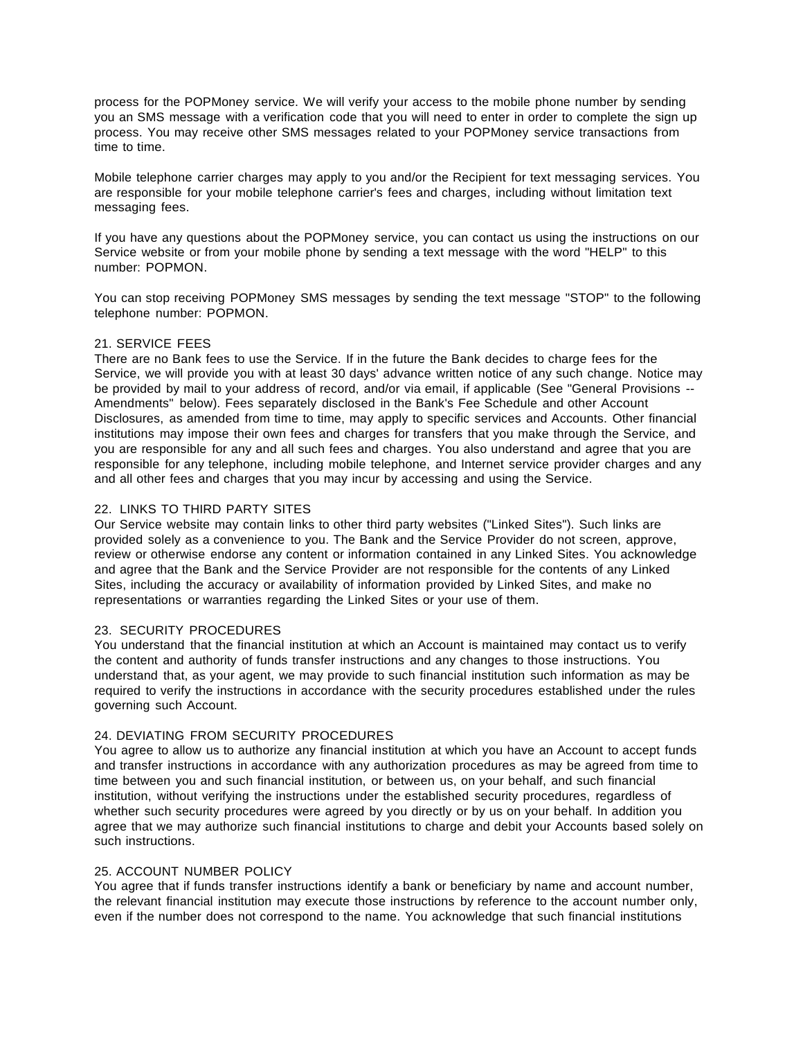process for the POPMoney service. We will verify your access to the mobile phone number by sending you an SMS message with a verification code that you will need to enter in order to complete the sign up process. You may receive other SMS messages related to your POPMoney service transactions from time to time.

Mobile telephone carrier charges may apply to you and/or the Recipient for text messaging services. You are responsible for your mobile telephone carrier's fees and charges, including without limitation text messaging fees.

If you have any questions about the POPMoney service, you can contact us using the instructions on our Service website or from your mobile phone by sending a text message with the word "HELP" to this number: POPMON.

You can stop receiving POPMoney SMS messages by sending the text message "STOP" to the following telephone number: POPMON.

## 21. SERVICE FEES

There are no Bank fees to use the Service. If in the future the Bank decides to charge fees for the Service, we will provide you with at least 30 days' advance written notice of any such change. Notice may be provided by mail to your address of record, and/or via email, if applicable (See "General Provisions -- Amendments" below). Fees separately disclosed in the Bank's Fee Schedule and other Account Disclosures, as amended from time to time, may apply to specific services and Accounts. Other financial institutions may impose their own fees and charges for transfers that you make through the Service, and you are responsible for any and all such fees and charges. You also understand and agree that you are responsible for any telephone, including mobile telephone, and Internet service provider charges and any and all other fees and charges that you may incur by accessing and using the Service.

## 22. LINKS TO THIRD PARTY SITES

Our Service website may contain links to other third party websites ("Linked Sites"). Such links are provided solely as a convenience to you. The Bank and the Service Provider do not screen, approve, review or otherwise endorse any content or information contained in any Linked Sites. You acknowledge and agree that the Bank and the Service Provider are not responsible for the contents of any Linked Sites, including the accuracy or availability of information provided by Linked Sites, and make no representations or warranties regarding the Linked Sites or your use of them.

## 23. SECURITY PROCEDURES

You understand that the financial institution at which an Account is maintained may contact us to verify the content and authority of funds transfer instructions and any changes to those instructions. You understand that, as your agent, we may provide to such financial institution such information as may be required to verify the instructions in accordance with the security procedures established under the rules governing such Account.

# 24. DEVIATING FROM SECURITY PROCEDURES

You agree to allow us to authorize any financial institution at which you have an Account to accept funds and transfer instructions in accordance with any authorization procedures as may be agreed from time to time between you and such financial institution, or between us, on your behalf, and such financial institution, without verifying the instructions under the established security procedures, regardless of whether such security procedures were agreed by you directly or by us on your behalf. In addition you agree that we may authorize such financial institutions to charge and debit your Accounts based solely on such instructions.

#### 25. ACCOUNT NUMBER POLICY

You agree that if funds transfer instructions identify a bank or beneficiary by name and account number, the relevant financial institution may execute those instructions by reference to the account number only, even if the number does not correspond to the name. You acknowledge that such financial institutions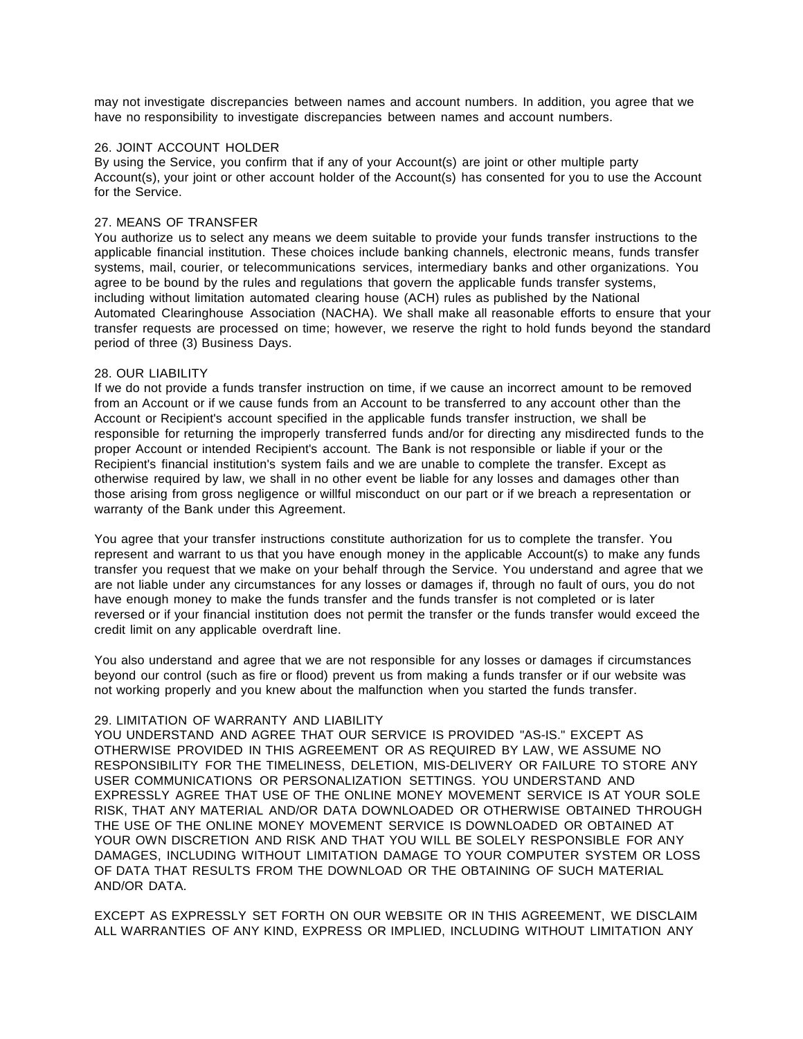may not investigate discrepancies between names and account numbers. In addition, you agree that we have no responsibility to investigate discrepancies between names and account numbers.

## 26. JOINT ACCOUNT HOLDER

By using the Service, you confirm that if any of your Account(s) are joint or other multiple party Account(s), your joint or other account holder of the Account(s) has consented for you to use the Account for the Service.

## 27. MEANS OF TRANSFER

You authorize us to select any means we deem suitable to provide your funds transfer instructions to the applicable financial institution. These choices include banking channels, electronic means, funds transfer systems, mail, courier, or telecommunications services, intermediary banks and other organizations. You agree to be bound by the rules and regulations that govern the applicable funds transfer systems, including without limitation automated clearing house (ACH) rules as published by the National Automated Clearinghouse Association (NACHA). We shall make all reasonable efforts to ensure that your transfer requests are processed on time; however, we reserve the right to hold funds beyond the standard period of three (3) Business Days.

## 28. OUR LIABILITY

If we do not provide a funds transfer instruction on time, if we cause an incorrect amount to be removed from an Account or if we cause funds from an Account to be transferred to any account other than the Account or Recipient's account specified in the applicable funds transfer instruction, we shall be responsible for returning the improperly transferred funds and/or for directing any misdirected funds to the proper Account or intended Recipient's account. The Bank is not responsible or liable if your or the Recipient's financial institution's system fails and we are unable to complete the transfer. Except as otherwise required by law, we shall in no other event be liable for any losses and damages other than those arising from gross negligence or willful misconduct on our part or if we breach a representation or warranty of the Bank under this Agreement.

You agree that your transfer instructions constitute authorization for us to complete the transfer. You represent and warrant to us that you have enough money in the applicable Account(s) to make any funds transfer you request that we make on your behalf through the Service. You understand and agree that we are not liable under any circumstances for any losses or damages if, through no fault of ours, you do not have enough money to make the funds transfer and the funds transfer is not completed or is later reversed or if your financial institution does not permit the transfer or the funds transfer would exceed the credit limit on any applicable overdraft line.

You also understand and agree that we are not responsible for any losses or damages if circumstances beyond our control (such as fire or flood) prevent us from making a funds transfer or if our website was not working properly and you knew about the malfunction when you started the funds transfer.

## 29. LIMITATION OF WARRANTY AND LIABILITY

YOU UNDERSTAND AND AGREE THAT OUR SERVICE IS PROVIDED "AS-IS." EXCEPT AS OTHERWISE PROVIDED IN THIS AGREEMENT OR AS REQUIRED BY LAW, WE ASSUME NO RESPONSIBILITY FOR THE TIMELINESS, DELETION, MIS-DELIVERY OR FAILURE TO STORE ANY USER COMMUNICATIONS OR PERSONALIZATION SETTINGS. YOU UNDERSTAND AND EXPRESSLY AGREE THAT USE OF THE ONLINE MONEY MOVEMENT SERVICE IS AT YOUR SOLE RISK, THAT ANY MATERIAL AND/OR DATA DOWNLOADED OR OTHERWISE OBTAINED THROUGH THE USE OF THE ONLINE MONEY MOVEMENT SERVICE IS DOWNLOADED OR OBTAINED AT YOUR OWN DISCRETION AND RISK AND THAT YOU WILL BE SOLELY RESPONSIBLE FOR ANY DAMAGES, INCLUDING WITHOUT LIMITATION DAMAGE TO YOUR COMPUTER SYSTEM OR LOSS OF DATA THAT RESULTS FROM THE DOWNLOAD OR THE OBTAINING OF SUCH MATERIAL AND/OR DATA.

EXCEPT AS EXPRESSLY SET FORTH ON OUR WEBSITE OR IN THIS AGREEMENT, WE DISCLAIM ALL WARRANTIES OF ANY KIND, EXPRESS OR IMPLIED, INCLUDING WITHOUT LIMITATION ANY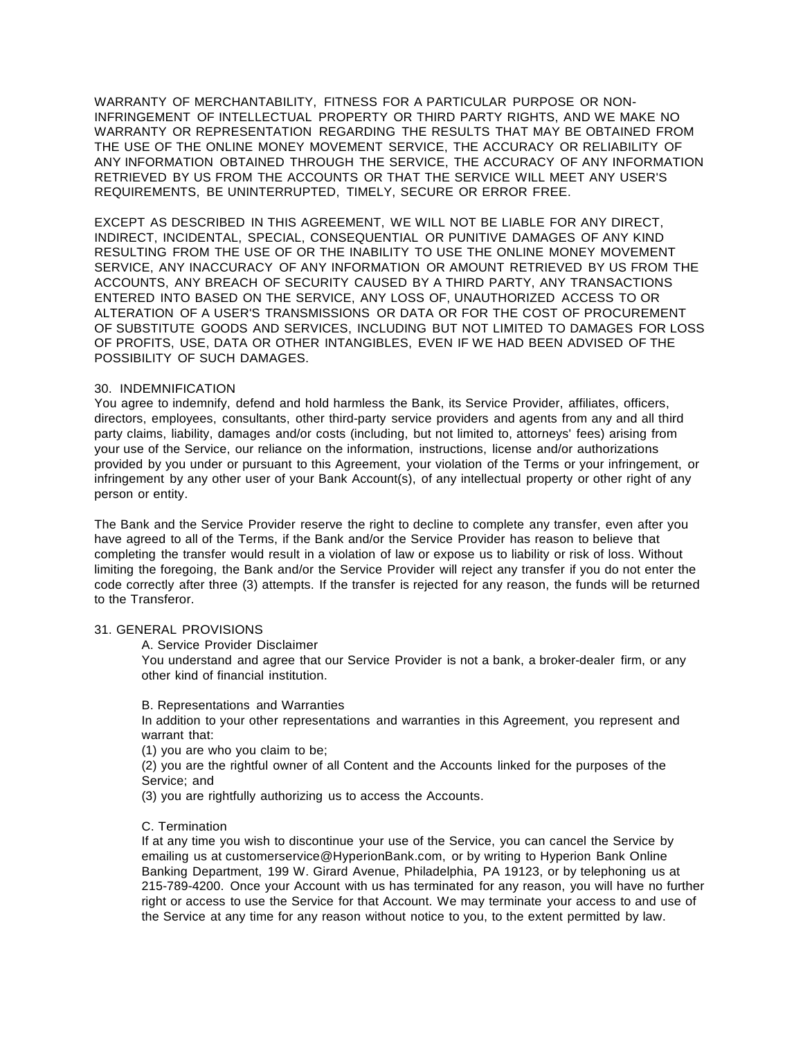WARRANTY OF MERCHANTABILITY, FITNESS FOR A PARTICULAR PURPOSE OR NON-INFRINGEMENT OF INTELLECTUAL PROPERTY OR THIRD PARTY RIGHTS, AND WE MAKE NO WARRANTY OR REPRESENTATION REGARDING THE RESULTS THAT MAY BE OBTAINED FROM THE USE OF THE ONLINE MONEY MOVEMENT SERVICE, THE ACCURACY OR RELIABILITY OF ANY INFORMATION OBTAINED THROUGH THE SERVICE, THE ACCURACY OF ANY INFORMATION RETRIEVED BY US FROM THE ACCOUNTS OR THAT THE SERVICE WILL MEET ANY USER'S REQUIREMENTS, BE UNINTERRUPTED, TIMELY, SECURE OR ERROR FREE.

EXCEPT AS DESCRIBED IN THIS AGREEMENT, WE WILL NOT BE LIABLE FOR ANY DIRECT, INDIRECT, INCIDENTAL, SPECIAL, CONSEQUENTIAL OR PUNITIVE DAMAGES OF ANY KIND RESULTING FROM THE USE OF OR THE INABILITY TO USE THE ONLINE MONEY MOVEMENT SERVICE, ANY INACCURACY OF ANY INFORMATION OR AMOUNT RETRIEVED BY US FROM THE ACCOUNTS, ANY BREACH OF SECURITY CAUSED BY A THIRD PARTY, ANY TRANSACTIONS ENTERED INTO BASED ON THE SERVICE, ANY LOSS OF, UNAUTHORIZED ACCESS TO OR ALTERATION OF A USER'S TRANSMISSIONS OR DATA OR FOR THE COST OF PROCUREMENT OF SUBSTITUTE GOODS AND SERVICES, INCLUDING BUT NOT LIMITED TO DAMAGES FOR LOSS OF PROFITS, USE, DATA OR OTHER INTANGIBLES, EVEN IF WE HAD BEEN ADVISED OF THE POSSIBILITY OF SUCH DAMAGES.

## 30. INDEMNIFICATION

You agree to indemnify, defend and hold harmless the Bank, its Service Provider, affiliates, officers, directors, employees, consultants, other third-party service providers and agents from any and all third party claims, liability, damages and/or costs (including, but not limited to, attorneys' fees) arising from your use of the Service, our reliance on the information, instructions, license and/or authorizations provided by you under or pursuant to this Agreement, your violation of the Terms or your infringement, or infringement by any other user of your Bank Account(s), of any intellectual property or other right of any person or entity.

The Bank and the Service Provider reserve the right to decline to complete any transfer, even after you have agreed to all of the Terms, if the Bank and/or the Service Provider has reason to believe that completing the transfer would result in a violation of law or expose us to liability or risk of loss. Without limiting the foregoing, the Bank and/or the Service Provider will reject any transfer if you do not enter the code correctly after three (3) attempts. If the transfer is rejected for any reason, the funds will be returned to the Transferor.

#### 31. GENERAL PROVISIONS

A. Service Provider Disclaimer

You understand and agree that our Service Provider is not a bank, a broker-dealer firm, or any other kind of financial institution.

#### B. Representations and Warranties

In addition to your other representations and warranties in this Agreement, you represent and warrant that:

(1) you are who you claim to be;

(2) you are the rightful owner of all Content and the Accounts linked for the purposes of the Service; and

(3) you are rightfully authorizing us to access the Accounts.

## C. Termination

If at any time you wish to discontinue your use of the Service, you can cancel the Service by emailing us at [customerservice@HyperionBank.com,](mailto:customerservice@HyperionBank.com) or by writing to Hyperion Bank Online Banking Department, 199 W. Girard Avenue, Philadelphia, PA 19123, or by telephoning us at 215-789-4200. Once your Account with us has terminated for any reason, you will have no further right or access to use the Service for that Account. We may terminate your access to and use of the Service at any time for any reason without notice to you, to the extent permitted by law.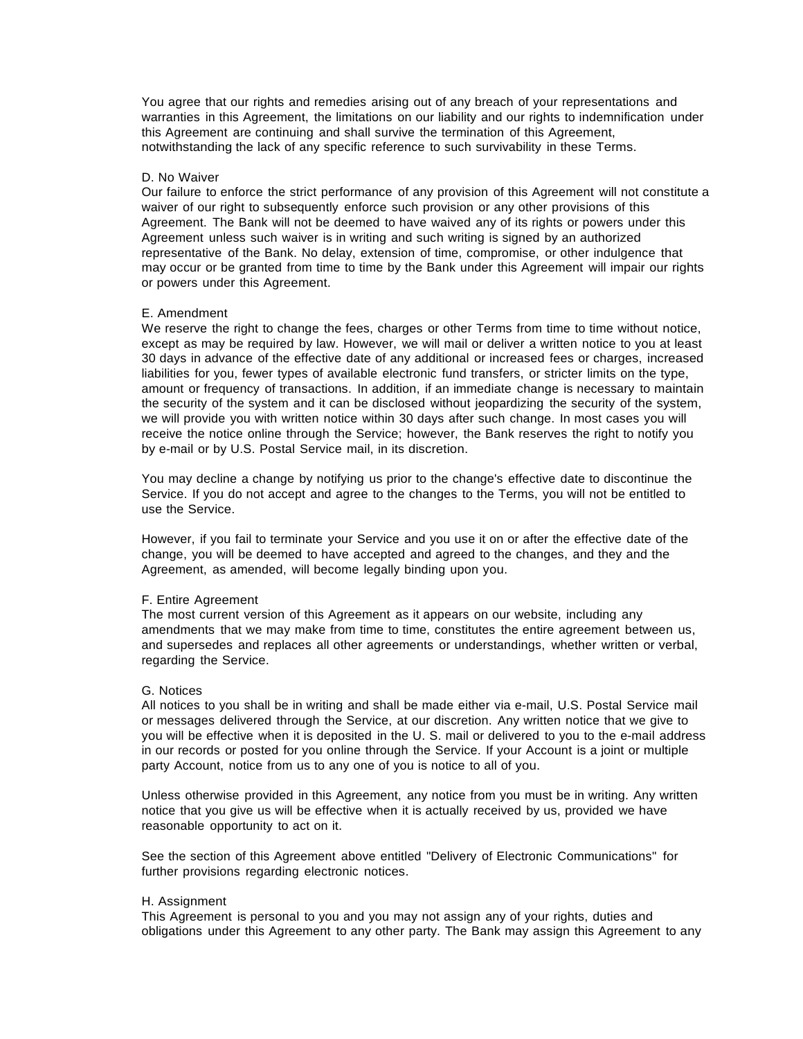You agree that our rights and remedies arising out of any breach of your representations and warranties in this Agreement, the limitations on our liability and our rights to indemnification under this Agreement are continuing and shall survive the termination of this Agreement, notwithstanding the lack of any specific reference to such survivability in these Terms.

#### D. No Waiver

Our failure to enforce the strict performance of any provision of this Agreement will not constitute a waiver of our right to subsequently enforce such provision or any other provisions of this Agreement. The Bank will not be deemed to have waived any of its rights or powers under this Agreement unless such waiver is in writing and such writing is signed by an authorized representative of the Bank. No delay, extension of time, compromise, or other indulgence that may occur or be granted from time to time by the Bank under this Agreement will impair our rights or powers under this Agreement.

#### E. Amendment

We reserve the right to change the fees, charges or other Terms from time to time without notice, except as may be required by law. However, we will mail or deliver a written notice to you at least 30 days in advance of the effective date of any additional or increased fees or charges, increased liabilities for you, fewer types of available electronic fund transfers, or stricter limits on the type, amount or frequency of transactions. In addition, if an immediate change is necessary to maintain the security of the system and it can be disclosed without jeopardizing the security of the system, we will provide you with written notice within 30 days after such change. In most cases you will receive the notice online through the Service; however, the Bank reserves the right to notify you by e-mail or by U.S. Postal Service mail, in its discretion.

You may decline a change by notifying us prior to the change's effective date to discontinue the Service. If you do not accept and agree to the changes to the Terms, you will not be entitled to use the Service.

However, if you fail to terminate your Service and you use it on or after the effective date of the change, you will be deemed to have accepted and agreed to the changes, and they and the Agreement, as amended, will become legally binding upon you.

#### F. Entire Agreement

The most current version of this Agreement as it appears on our website, including any amendments that we may make from time to time, constitutes the entire agreement between us, and supersedes and replaces all other agreements or understandings, whether written or verbal, regarding the Service.

#### G. Notices

All notices to you shall be in writing and shall be made either via e-mail, U.S. Postal Service mail or messages delivered through the Service, at our discretion. Any written notice that we give to you will be effective when it is deposited in the U. S. mail or delivered to you to the e-mail address in our records or posted for you online through the Service. If your Account is a joint or multiple party Account, notice from us to any one of you is notice to all of you.

Unless otherwise provided in this Agreement, any notice from you must be in writing. Any written notice that you give us will be effective when it is actually received by us, provided we have reasonable opportunity to act on it.

See the section of this Agreement above entitled "Delivery of Electronic Communications" for further provisions regarding electronic notices.

#### H. Assignment

This Agreement is personal to you and you may not assign any of your rights, duties and obligations under this Agreement to any other party. The Bank may assign this Agreement to any